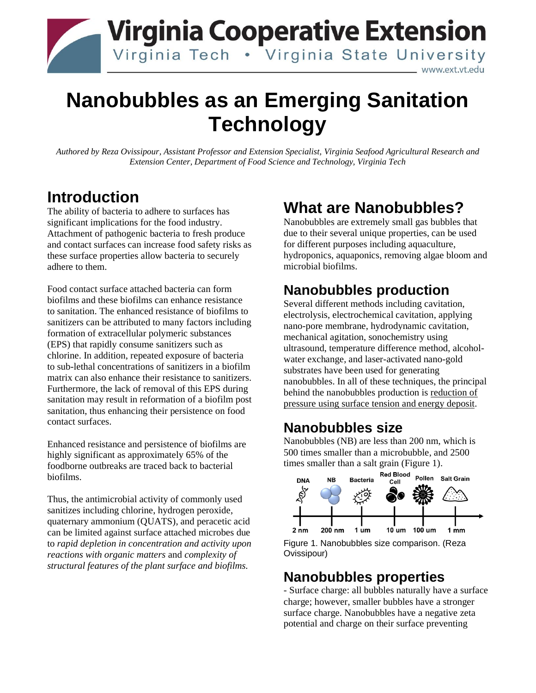

# **Nanobubbles as an Emerging Sanitation Technology**

*Authored by Reza Ovissipour, Assistant Professor and Extension Specialist, Virginia Seafood Agricultural Research and Extension Center, Department of Food Science and Technology, Virginia Tech*

### **Introduction**

The ability of bacteria to adhere to surfaces has significant implications for the food industry. Attachment of pathogenic bacteria to fresh produce and contact surfaces can increase food safety risks as these surface properties allow bacteria to securely adhere to them.

Food contact surface attached bacteria can form biofilms and these biofilms can enhance resistance to sanitation. The enhanced resistance of biofilms to sanitizers can be attributed to many factors including formation of extracellular polymeric substances (EPS) that rapidly consume sanitizers such as chlorine. In addition, repeated exposure of bacteria to sub-lethal concentrations of sanitizers in a biofilm matrix can also enhance their resistance to sanitizers. Furthermore, the lack of removal of this EPS during sanitation may result in reformation of a biofilm post sanitation, thus enhancing their persistence on food contact surfaces.

Enhanced resistance and persistence of biofilms are highly significant as approximately 65% of the foodborne outbreaks are traced back to bacterial biofilms.

Thus, the antimicrobial activity of commonly used sanitizes including chlorine, hydrogen peroxide, quaternary ammonium (QUATS), and peracetic acid can be limited against surface attached microbes due to *rapid depletion in concentration and activity upon reactions with organic matters* and *complexity of structural features of the plant surface and biofilms.*

# **What are Nanobubbles?**

Nanobubbles are extremely small gas bubbles that due to their several unique properties, can be used for different purposes including aquaculture, hydroponics, aquaponics, removing algae bloom and microbial biofilms.

### **Nanobubbles production**

Several different methods including cavitation, electrolysis, electrochemical cavitation, applying nano-pore membrane, hydrodynamic cavitation, mechanical agitation, sonochemistry using ultrasound, temperature difference method, alcoholwater exchange, and laser-activated nano-gold substrates have been used for generating nanobubbles. In all of these techniques, the principal behind the nanobubbles production is reduction of pressure using surface tension and energy deposit.

#### **Nanobubbles size**

Nanobubbles (NB) are less than 200 nm, which is 500 times smaller than a microbubble, and 2500 times smaller than a salt grain (Figure 1).





### **Nanobubbles properties**

- Surface charge: all bubbles naturally have a surface charge; however, smaller bubbles have a stronger surface charge. Nanobubbles have a negative zeta potential and charge on their surface preventing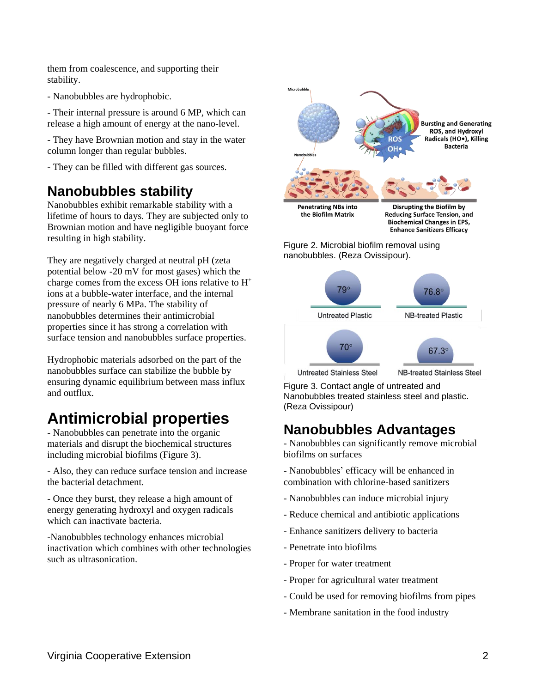them from coalescence, and supporting their stability.

- Nanobubbles are hydrophobic.

- Their internal pressure is around 6 MP, which can release a high amount of energy at the nano-level.

- They have Brownian motion and stay in the water column longer than regular bubbles.

- They can be filled with different gas sources.

#### **Nanobubbles stability**

Nanobubbles exhibit remarkable stability with a lifetime of hours to days. They are subjected only to Brownian motion and have negligible buoyant force resulting in high stability.

They are negatively charged at neutral pH (zeta potential below -20 mV for most gases) which the charge comes from the excess OH ions relative to  $H^+$ ions at a bubble-water interface, and the internal pressure of nearly 6 MPa. The stability of nanobubbles determines their antimicrobial properties since it has strong a correlation with surface tension and nanobubbles surface properties.

Hydrophobic materials adsorbed on the part of the nanobubbles surface can stabilize the bubble by ensuring dynamic equilibrium between mass influx and outflux.

# **Antimicrobial properties**

- Nanobubbles can penetrate into the organic materials and disrupt the biochemical structures including microbial biofilms (Figure 3).

- Also, they can reduce surface tension and increase the bacterial detachment.

- Once they burst, they release a high amount of energy generating hydroxyl and oxygen radicals which can inactivate bacteria.

-Nanobubbles technology enhances microbial inactivation which combines with other technologies such as ultrasonication.



**Enhance Sanitizers Efficacy** 

Figure 2. Microbial biofilm removal using nanobubbles. (Reza Ovissipour).



**Untreated Stainless Steel** 

**NB-treated Stainless Steel** 

Figure 3. Contact angle of untreated and Nanobubbles treated stainless steel and plastic. (Reza Ovissipour)

#### **Nanobubbles Advantages**

- Nanobubbles can significantly remove microbial biofilms on surfaces

- Nanobubbles' efficacy will be enhanced in combination with chlorine-based sanitizers

- Nanobubbles can induce microbial injury
- Reduce chemical and antibiotic applications
- Enhance sanitizers delivery to bacteria
- Penetrate into biofilms
- Proper for water treatment
- Proper for agricultural water treatment
- Could be used for removing biofilms from pipes
- Membrane sanitation in the food industry